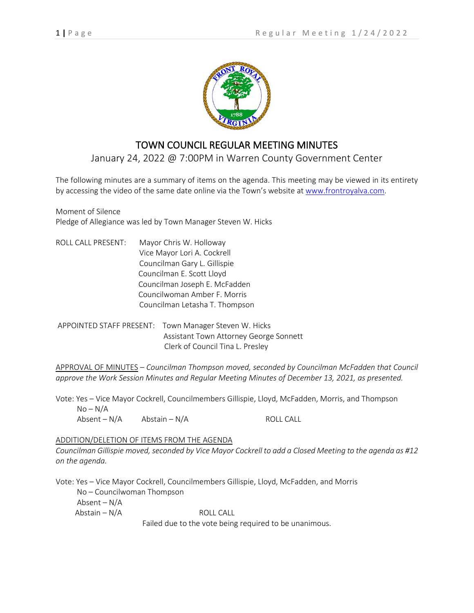

# TOWN COUNCIL REGULAR MEETING MINUTES

January 24, 2022 @ 7:00PM in Warren County Government Center

The following minutes are a summary of items on the agenda. This meeting may be viewed in its entirety by accessing the video of the same date online via the Town's website at [www.frontroyalva.com.](http://www.frontroyalva.com/)

Moment of Silence Pledge of Allegiance was led by Town Manager Steven W. Hicks

ROLL CALL PRESENT: Mayor Chris W. Holloway Vice Mayor Lori A. Cockrell Councilman Gary L. Gillispie Councilman E. Scott Lloyd Councilman Joseph E. McFadden Councilwoman Amber F. Morris Councilman Letasha T. Thompson

APPOINTED STAFF PRESENT: Town Manager Steven W. Hicks Assistant Town Attorney George Sonnett Clerk of Council Tina L. Presley

APPROVAL OF MINUTES – *Councilman Thompson moved, seconded by Councilman McFadden that Council approve the Work Session Minutes and Regular Meeting Minutes of December 13, 2021, as presented.*

Vote: Yes – Vice Mayor Cockrell, Councilmembers Gillispie, Lloyd, McFadden, Morris, and Thompson  $No-N/A$  $\Delta b$ sent – N/A  $\Delta b$ stain – N/A ROLL CALL

## ADDITION/DELETION OF ITEMS FROM THE AGENDA

*Councilman Gillispie moved, seconded by Vice Mayor Cockrell to add a Closed Meeting to the agenda as #12 on the agenda.* 

Vote: Yes – Vice Mayor Cockrell, Councilmembers Gillispie, Lloyd, McFadden, and Morris No – Councilwoman Thompson Absent – N/A  $Abstain - N/A$  ROLL CALL Failed due to the vote being required to be unanimous.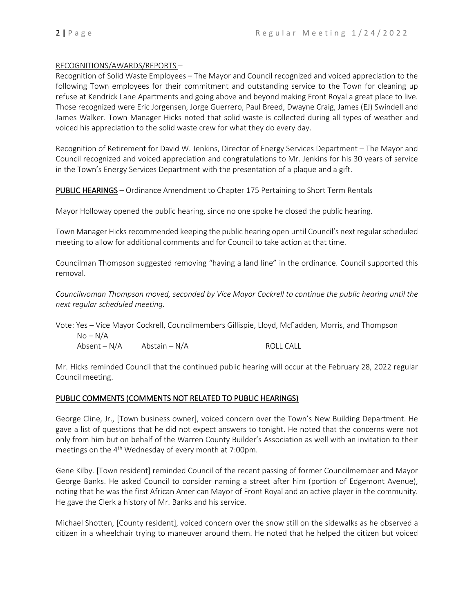$No-N/A$ 

#### RECOGNITIONS/AWARDS/REPORTS –

Recognition of Solid Waste Employees – The Mayor and Council recognized and voiced appreciation to the following Town employees for their commitment and outstanding service to the Town for cleaning up refuse at Kendrick Lane Apartments and going above and beyond making Front Royal a great place to live. Those recognized were Eric Jorgensen, Jorge Guerrero, Paul Breed, Dwayne Craig, James (EJ) Swindell and James Walker. Town Manager Hicks noted that solid waste is collected during all types of weather and voiced his appreciation to the solid waste crew for what they do every day.

Recognition of Retirement for David W. Jenkins, Director of Energy Services Department – The Mayor and Council recognized and voiced appreciation and congratulations to Mr. Jenkins for his 30 years of service in the Town's Energy Services Department with the presentation of a plaque and a gift.

PUBLIC HEARINGS – Ordinance Amendment to Chapter 175 Pertaining to Short Term Rentals

Mayor Holloway opened the public hearing, since no one spoke he closed the public hearing.

Town Manager Hicks recommended keeping the public hearing open until Council's next regular scheduled meeting to allow for additional comments and for Council to take action at that time.

Councilman Thompson suggested removing "having a land line" in the ordinance. Council supported this removal.

*Councilwoman Thompson moved, seconded by Vice Mayor Cockrell to continue the public hearing until the next regular scheduled meeting.*

Vote: Yes – Vice Mayor Cockrell, Councilmembers Gillispie, Lloyd, McFadden, Morris, and Thompson

Absent – N/A Abstain – N/A ROLL CALL

Mr. Hicks reminded Council that the continued public hearing will occur at the February 28, 2022 regular Council meeting.

## PUBLIC COMMENTS (COMMENTS NOT RELATED TO PUBLIC HEARINGS)

George Cline, Jr., [Town business owner], voiced concern over the Town's New Building Department. He gave a list of questions that he did not expect answers to tonight. He noted that the concerns were not only from him but on behalf of the Warren County Builder's Association as well with an invitation to their meetings on the  $4<sup>th</sup>$  Wednesday of every month at 7:00pm.

Gene Kilby. [Town resident] reminded Council of the recent passing of former Councilmember and Mayor George Banks. He asked Council to consider naming a street after him (portion of Edgemont Avenue), noting that he was the first African American Mayor of Front Royal and an active player in the community. He gave the Clerk a history of Mr. Banks and his service.

Michael Shotten, [County resident], voiced concern over the snow still on the sidewalks as he observed a citizen in a wheelchair trying to maneuver around them. He noted that he helped the citizen but voiced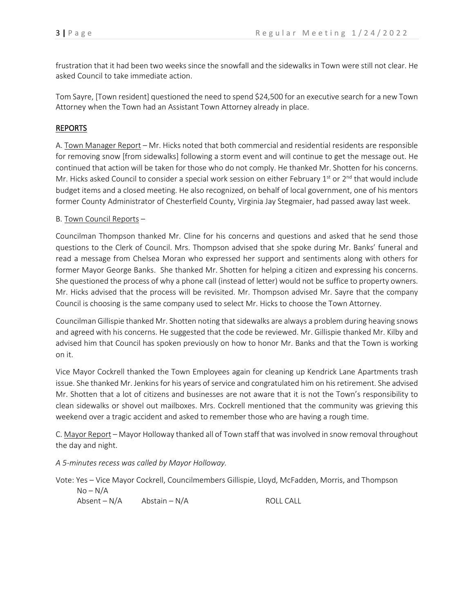frustration that it had been two weeks since the snowfall and the sidewalks in Town were still not clear. He asked Council to take immediate action.

Tom Sayre, [Town resident] questioned the need to spend \$24,500 for an executive search for a new Town Attorney when the Town had an Assistant Town Attorney already in place.

# REPORTS

A. Town Manager Report – Mr. Hicks noted that both commercial and residential residents are responsible for removing snow [from sidewalks] following a storm event and will continue to get the message out. He continued that action will be taken for those who do not comply. He thanked Mr. Shotten for his concerns. Mr. Hicks asked Council to consider a special work session on either February 1<sup>st</sup> or 2<sup>nd</sup> that would include budget items and a closed meeting. He also recognized, on behalf of local government, one of his mentors former County Administrator of Chesterfield County, Virginia Jay Stegmaier, had passed away last week.

#### B. Town Council Reports –

Councilman Thompson thanked Mr. Cline for his concerns and questions and asked that he send those questions to the Clerk of Council. Mrs. Thompson advised that she spoke during Mr. Banks' funeral and read a message from Chelsea Moran who expressed her support and sentiments along with others for former Mayor George Banks. She thanked Mr. Shotten for helping a citizen and expressing his concerns. She questioned the process of why a phone call (instead of letter) would not be suffice to property owners. Mr. Hicks advised that the process will be revisited. Mr. Thompson advised Mr. Sayre that the company Council is choosing is the same company used to select Mr. Hicks to choose the Town Attorney.

Councilman Gillispie thanked Mr. Shotten noting that sidewalks are always a problem during heaving snows and agreed with his concerns. He suggested that the code be reviewed. Mr. Gillispie thanked Mr. Kilby and advised him that Council has spoken previously on how to honor Mr. Banks and that the Town is working on it.

Vice Mayor Cockrell thanked the Town Employees again for cleaning up Kendrick Lane Apartments trash issue. She thanked Mr. Jenkins for his years of service and congratulated him on his retirement. She advised Mr. Shotten that a lot of citizens and businesses are not aware that it is not the Town's responsibility to clean sidewalks or shovel out mailboxes. Mrs. Cockrell mentioned that the community was grieving this weekend over a tragic accident and asked to remember those who are having a rough time.

C. Mayor Report – Mayor Holloway thanked all of Town staff that was involved in snow removal throughout the day and night.

*A 5-minutes recess was called by Mayor Holloway.*

Vote: Yes – Vice Mayor Cockrell, Councilmembers Gillispie, Lloyd, McFadden, Morris, and Thompson

| $No-N/A$     |               |           |
|--------------|---------------|-----------|
| Absent – N/A | Abstain – N/A | ROLL CALL |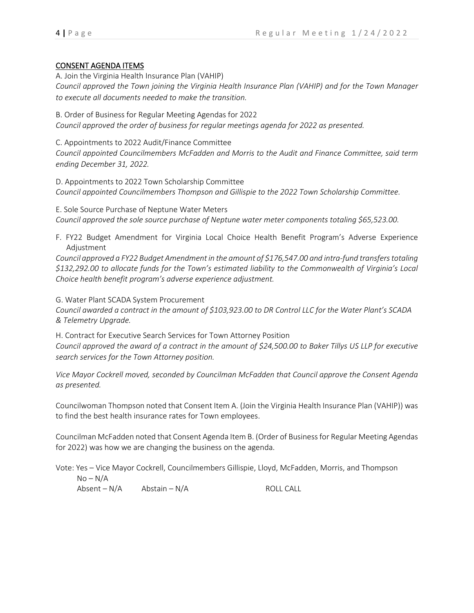## CONSENT AGENDA ITEMS

A. Join the Virginia Health Insurance Plan (VAHIP) *Council approved the Town joining the Virginia Health Insurance Plan (VAHIP) and for the Town Manager to execute all documents needed to make the transition.*

B. Order of Business for Regular Meeting Agendas for 2022 *Council approved the order of business for regular meetings agenda for 2022 as presented.*

C. Appointments to 2022 Audit/Finance Committee

*Council appointed Councilmembers McFadden and Morris to the Audit and Finance Committee, said term ending December 31, 2022.*

D. Appointments to 2022 Town Scholarship Committee *Council appointed Councilmembers Thompson and Gillispie to the 2022 Town Scholarship Committee.*

E. Sole Source Purchase of Neptune Water Meters *Council approved the sole source purchase of Neptune water meter components totaling \$65,523.00.*

F. FY22 Budget Amendment for Virginia Local Choice Health Benefit Program's Adverse Experience Adjustment

*Council approved a FY22 Budget Amendment in the amount of \$176,547.00 and intra-fund transfers totaling \$132,292.00 to allocate funds for the Town's estimated liability to the Commonwealth of Virginia's Local Choice health benefit program's adverse experience adjustment.*

G. Water Plant SCADA System Procurement

*Council awarded a contract in the amount of \$103,923.00 to DR Control LLC for the Water Plant's SCADA & Telemetry Upgrade.*

H. Contract for Executive Search Services for Town Attorney Position *Council approved the award of a contract in the amount of \$24,500.00 to Baker Tillys US LLP for executive search services for the Town Attorney position.*

*Vice Mayor Cockrell moved, seconded by Councilman McFadden that Council approve the Consent Agenda as presented.*

Councilwoman Thompson noted that Consent Item A. (Join the Virginia Health Insurance Plan (VAHIP)) was to find the best health insurance rates for Town employees.

Councilman McFadden noted that Consent Agenda Item B. (Order of Business for Regular Meeting Agendas for 2022) was how we are changing the business on the agenda.

Vote: Yes – Vice Mayor Cockrell, Councilmembers Gillispie, Lloyd, McFadden, Morris, and Thompson  $No-N/A$  $\Delta b$ sent – N/A  $\Delta b$ stain – N/A ROLL CALL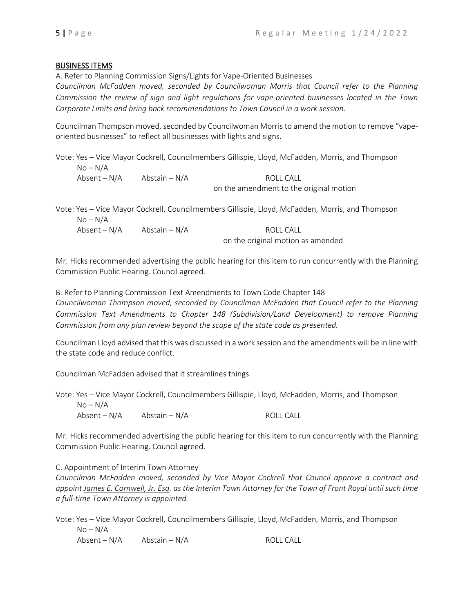# BUSINESS ITEMS

A. Refer to Planning Commission Signs/Lights for Vape-Oriented Businesses

*Councilman McFadden moved, seconded by Councilwoman Morris that Council refer to the Planning Commission the review of sign and light regulations for vape-oriented businesses located in the Town Corporate Limits and bring back recommendations to Town Council in a work session.*

Councilman Thompson moved, seconded by Councilwoman Morris to amend the motion to remove "vapeoriented businesses" to reflect all businesses with lights and signs.

Vote: Yes – Vice Mayor Cockrell, Councilmembers Gillispie, Lloyd, McFadden, Morris, and Thompson  $No-N/A$  $\Delta b$ sent – N/A  $\Delta b$ stain – N/A ROLL CALL

on the amendment to the original motion

Vote: Yes – Vice Mayor Cockrell, Councilmembers Gillispie, Lloyd, McFadden, Morris, and Thompson  $No-N/A$  $\Delta b$ sent – N/A  $\Delta b$ stain – N/A ROLL CALL

on the original motion as amended

Mr. Hicks recommended advertising the public hearing for this item to run concurrently with the Planning Commission Public Hearing. Council agreed.

B. Refer to Planning Commission Text Amendments to Town Code Chapter 148 *Councilwoman Thompson moved, seconded by Councilman McFadden that Council refer to the Planning Commission Text Amendments to Chapter 148 (Subdivision/Land Development) to remove Planning Commission from any plan review beyond the scope of the state code as presented.*

Councilman Lloyd advised that this was discussed in a work session and the amendments will be in line with the state code and reduce conflict.

Councilman McFadden advised that it streamlines things.

Vote: Yes – Vice Mayor Cockrell, Councilmembers Gillispie, Lloyd, McFadden, Morris, and Thompson  $No-N/A$ 

 $\Delta b$ sent – N/A  $\Delta b$ stain – N/A ROLL CALL

Mr. Hicks recommended advertising the public hearing for this item to run concurrently with the Planning Commission Public Hearing. Council agreed.

C. Appointment of Interim Town Attorney

*Councilman McFadden moved, seconded by Vice Mayor Cockrell that Council approve a contract and appoint James E. Cornwell, Jr. Esq. as the Interim Town Attorney for the Town of Front Royal until such time a full-time Town Attorney is appointed.*

Vote: Yes – Vice Mayor Cockrell, Councilmembers Gillispie, Lloyd, McFadden, Morris, and Thompson  $No-N/A$ 

 $\Delta b$ sent – N/A  $\Delta b$ stain – N/A ROLL CALL